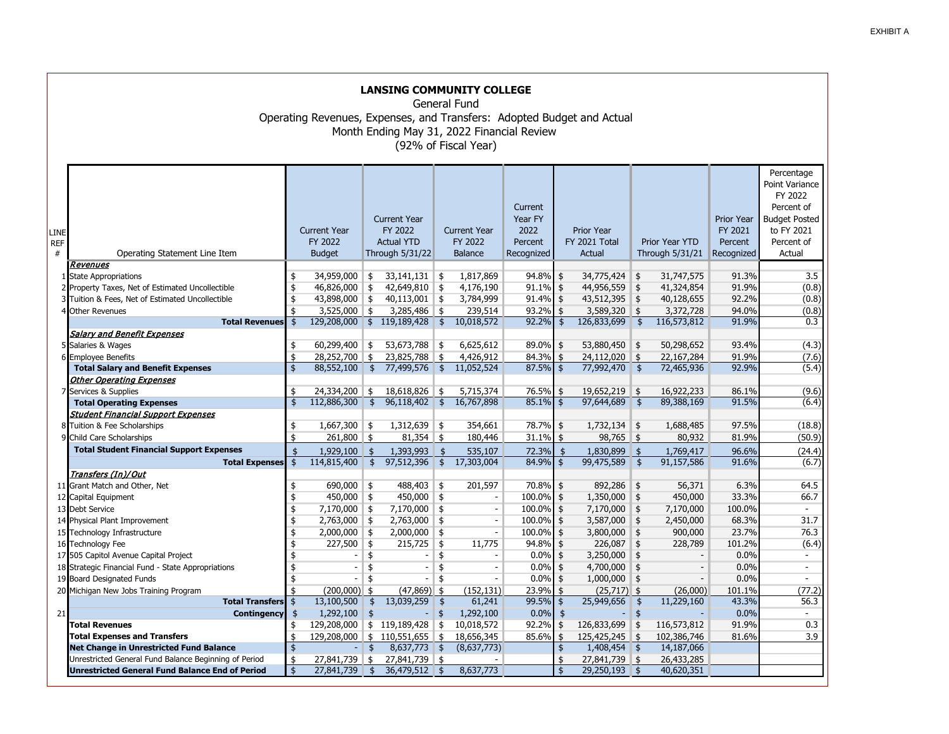|                         | <b>LANSING COMMUNITY COLLEGE</b><br>General Fund<br>Operating Revenues, Expenses, and Transfers: Adopted Budget and Actual<br>Month Ending May 31, 2022 Financial Review<br>(92% of Fiscal Year)         |                                                              |                                                                                              |                                            |                                                                                                     |                                          |                                                                             |                                                     |                                                  |                                                                         |                                                  |                                                                    |                                                  |                                                                                                                     |
|-------------------------|----------------------------------------------------------------------------------------------------------------------------------------------------------------------------------------------------------|--------------------------------------------------------------|----------------------------------------------------------------------------------------------|--------------------------------------------|-----------------------------------------------------------------------------------------------------|------------------------------------------|-----------------------------------------------------------------------------|-----------------------------------------------------|--------------------------------------------------|-------------------------------------------------------------------------|--------------------------------------------------|--------------------------------------------------------------------|--------------------------------------------------|---------------------------------------------------------------------------------------------------------------------|
| LINE<br><b>REF</b><br># | Operating Statement Line Item                                                                                                                                                                            |                                                              | <b>Current Year</b><br>FY 2022<br><b>Budget</b>                                              |                                            | <b>Current Year</b><br>FY 2022<br><b>Actual YTD</b><br>Through 5/31/22                              |                                          | <b>Current Year</b><br>FY 2022<br><b>Balance</b>                            | Current<br>Year FY<br>2022<br>Percent<br>Recognized |                                                  | <b>Prior Year</b><br>FY 2021 Total<br>Actual                            |                                                  | Prior Year YTD<br>Through 5/31/21                                  | Prior Year<br>FY 2021<br>Percent<br>Recognized   | Percentage<br>Point Variance<br>FY 2022<br>Percent of<br><b>Budget Posted</b><br>to FY 2021<br>Percent of<br>Actual |
|                         | Revenues<br>1 State Appropriations<br>2 Property Taxes, Net of Estimated Uncollectible<br>3 Tuition & Fees, Net of Estimated Uncollectible<br>4 Other Revenues<br><b>Total Revenues</b>                  | \$<br>$\pmb{\$}$<br>\$<br>\$<br>$\ddot{s}$                   | 34,959,000 \$<br>46,826,000 \$<br>43,898,000 \$<br>$3,525,000$ \$                            |                                            | $33,141,131$ \$<br>42,649,810 \$<br>$40,113,001$ \$<br>$3,285,486$ \$<br>129,208,000 \$ 119,189,428 | ∥\$                                      | 1,817,869<br>4,176,190<br>3,784,999<br>239,514<br>10,018,572                | 94.8%<br>91.1%<br>91.4%<br>93.2%<br>92.2%           | \$<br>$\frac{1}{2}$<br>$\frac{1}{2}$<br>\$<br>\$ | 34,775,424<br>44,956,559<br>$43,512,395$ \$<br>3,589,320<br>126,833,699 | \$<br>$\frac{4}{5}$<br>∥\$<br>  \$               | 31,747,575<br>41,324,854<br>40,128,655<br>3,372,728<br>116,573,812 | 91.3%<br>91.9%<br>92.2%<br>94.0%<br>91.9%        | 3.5<br>(0.8)<br>(0.8)<br>(0.8)<br>0.3                                                                               |
|                         | <b>Salary and Benefit Expenses</b><br>5 Salaries & Wages<br>6 Employee Benefits<br><b>Total Salary and Benefit Expenses</b><br><b>Other Operating Expenses</b>                                           | \$<br>\$<br>$\ddot{s}$                                       | 60,299,400 \$<br>28,252,700<br>88,552,100                                                    | $\frac{1}{2}$<br>$\overline{\mathbf{r}}$   | 53,673,788 \$<br>23,825,788<br>77,499,576                                                           | \$<br>$\ddot{s}$                         | 6,625,612<br>4,426,912<br>11,052,524                                        | 89.0%<br>84.3%<br>87.5%                             | $\frac{1}{2}$<br>\$<br>\$                        | 53,880,450 \$<br>24,112,020<br>77,992,470 \$                            | l \$                                             | 50,298,652<br>22,167,284<br>72,465,936                             | 93.4%<br>91.9%<br>92.9%                          | (4.3)<br>(7.6)<br>(5.4)                                                                                             |
|                         | 7 Services & Supplies<br><b>Total Operating Expenses</b><br><b>Student Financial Support Expenses</b><br>8 Tuition & Fee Scholarships<br>9 Child Care Scholarships                                       | \$<br>$\frac{1}{2}$<br>\$<br>\$                              | 24,334,200<br>112,886,300<br>$1,667,300$ \$<br>$261,800$ \$                                  | \$<br>$\frac{1}{2}$                        | 18,618,826<br>96,118,402<br>$1,312,639$ \$<br>$81,354$ \$                                           | ∥\$<br>$\ddot{s}$                        | 5,715,374<br>16,767,898<br>354,661<br>180,446                               | 76.5%<br>85.1%<br>78.7%<br>31.1%                    | \$<br>\$<br>\$<br>\$                             | 19,652,219<br>97,644,689<br>$1,732,134$ \$<br>$98,765$ \$               | \$<br>$\overline{\mathbf{3}}$                    | 16,922,233<br>89,388,169<br>1,688,485<br>80,932                    | 86.1%<br>91.5%<br>97.5%<br>81.9%                 | (9.6)<br>(6.4)<br>(18.8)<br>(50.9)                                                                                  |
|                         | <b>Total Student Financial Support Expenses</b><br><b>Total Expenses</b><br>Transfers (In)/Out<br>11 Grant Match and Other, Net<br>12 Capital Equipment                                                  | $\ddot{\mathbf{r}}$<br>$\frac{1}{2}$<br>\$<br>\$             | 1,929,100<br>114,815,400<br>$690,000$ \$<br>$450,000$ \$                                     | $\frac{4}{3}$<br>$\frac{1}{2}$             | 1,393,993<br>97,512,396<br>488,403 \$<br>$450,000$ \$                                               | $\overline{\mathbf{3}}$<br>$\frac{4}{5}$ | 535,107<br>17,303,004<br>201,597                                            | 72.3%<br>84.9%<br>70.8%<br>100.0%                   | $\frac{4}{5}$<br>\$<br>\$<br>\$                  | 1,830,899<br>99,475,589 \$<br>892,286<br>1,350,000                      | <b>S</b><br>\$<br>\$                             | 1,769,417<br>91,157,586<br>56,371<br>450,000                       | 96.6%<br>91.6%<br>6.3%<br>33.3%                  | (24.4)<br>(6.7)<br>64.5<br>66.7                                                                                     |
|                         | 13 Debt Service<br>14 Physical Plant Improvement<br>15 Technology Infrastructure<br>16 Technology Fee<br>17 505 Capitol Avenue Capital Project                                                           | \$<br>\$<br>$\frac{1}{2}$<br>$\overline{\mathfrak{s}}$<br>\$ | $7,170,000$ \$<br>$2,763,000$ \$<br>2,000,000<br>227,500<br>$\blacksquare$                   | ∥\$<br>  \$<br>\$                          | 7,170,000 \$<br>$2,763,000$ \$<br>$2,000,000$ \$<br>215,725<br>$\overline{\phantom{a}}$             | \$<br>\$                                 | $\sim$<br>11,775                                                            | 100.0%<br>100.0%<br>100.0%<br>94.8%<br>0.0%         | \$<br>\$<br>\$<br>\$<br>\$                       | 7,170,000<br>3,587,000<br>3,800,000<br>226,087<br>3,250,000             | <b>S</b><br>\$<br>\$<br>\$<br>\$                 | 7,170,000<br>2,450,000<br>900,000<br>228,789                       | 100.0%<br>68.3%<br>23.7%<br>101.2%<br>0.0%       | 31.7<br>76.3<br>(6.4)<br>$\blacksquare$                                                                             |
| 21                      | 18 Strategic Financial Fund - State Appropriations<br>19 Board Designated Funds<br>20 Michigan New Jobs Training Program<br><b>Total Transfers</b><br><b>Contingency</b><br><b>Total Revenues</b>        | \$<br>\$<br>$\overline{\mathsf{s}}$<br>\$<br>\$              | $\overline{\phantom{a}}$<br>$\bar{\phantom{a}}$<br>$(200,000)$ \$<br>13,100,500<br>1,292,100 | \$<br>\$<br>$\frac{4}{5}$<br>$\frac{4}{5}$ | ÷,<br>$\overline{a}$<br>$(47,869)$ \$<br>13,039,259<br>129,208,000 \$ 119,189,428 \$                | \$<br>\$<br>\$<br>$\frac{1}{2}$          | $\overline{\phantom{a}}$<br>(152, 131)<br>61,241<br>1,292,100<br>10,018,572 | 0.0%<br>0.0%<br>23.9%<br>99.5%<br>0.0%<br>92.2%     | \$<br>\$<br>\$<br>\$<br>$\frac{4}{5}$<br>\$      | 4,700,000<br>1,000,000<br>$(25,717)$ \$<br>25,949,656<br>126,833,699    | \$<br>$\frac{1}{2}$<br>$\frac{4}{5}$<br>\$<br>\$ | $\overline{\phantom{a}}$<br>(26,000)<br>11,229,160<br>116,573,812  | 0.0%<br>0.0%<br>101.1%<br>43.3%<br>0.0%<br>91.9% | $\overline{a}$<br>(77.2)<br>56.3<br>0.3                                                                             |
|                         | <b>Total Expenses and Transfers</b><br><b>Net Change in Unrestricted Fund Balance</b><br>Unrestricted General Fund Balance Beginning of Period<br><b>Unrestricted General Fund Balance End of Period</b> | \$<br>$\pmb{\$}$<br>\$<br>\$                                 | 129,208,000<br>27,841,739<br>27,841,739                                                      | $\frac{4}{5}$<br>∣\$<br>$\vert$ \$         | $\frac{1}{2}$ 110,551,655<br>8,637,773<br>27,841,739 \$<br>36,479,512 \$                            | ∥\$<br><b>S</b>                          | 18,656,345<br>(8,637,773)<br>8,637,773                                      | 85.6%                                               | \$<br>\$<br>\$<br>$\frac{4}{3}$                  | 125,425,245<br>1,408,454<br>27,841,739<br>29,250,193                    | $\frac{1}{2}$<br>$\vert$ \$<br>\$<br>5           | 102,386,746<br>14,187,066<br>26,433,285<br>40,620,351              | 81.6%                                            | 3.9                                                                                                                 |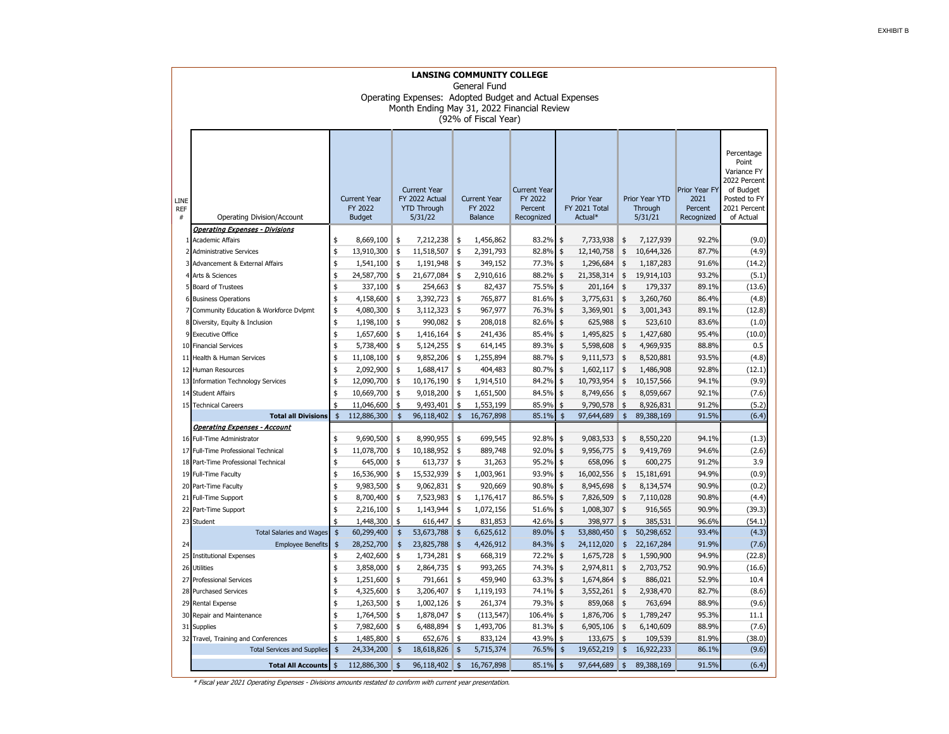|                            | <b>LANSING COMMUNITY COLLEGE</b><br>General Fund<br>Operating Expenses: Adopted Budget and Actual Expenses<br>Month Ending May 31, 2022 Financial Review<br>(92% of Fiscal Year) |                                                                                                                           |             |               |                                           |                     |                                                         |                                               |                   |                                      |               |                                                |                                                                                                              |        |
|----------------------------|----------------------------------------------------------------------------------------------------------------------------------------------------------------------------------|---------------------------------------------------------------------------------------------------------------------------|-------------|---------------|-------------------------------------------|---------------------|---------------------------------------------------------|-----------------------------------------------|-------------------|--------------------------------------|---------------|------------------------------------------------|--------------------------------------------------------------------------------------------------------------|--------|
| LINE<br><b>REF</b><br>$\#$ | Operating Division/Account                                                                                                                                                       | <b>Current Year</b><br><b>Current Year</b><br>FY 2022 Actual<br>FY 2022<br><b>YTD Through</b><br><b>Budget</b><br>5/31/22 |             |               | <b>Current Year</b><br>FY 2022<br>Balance |                     | <b>Current Year</b><br>FY 2022<br>Percent<br>Recognized | <b>Prior Year</b><br>FY 2021 Total<br>Actual* |                   | Prior Year YTD<br>Through<br>5/31/21 |               | Prior Year FY<br>2021<br>Percent<br>Recognized | Percentage<br>Point<br>Variance FY<br>2022 Percent<br>of Budget<br>Posted to FY<br>2021 Percent<br>of Actual |        |
|                            | <b>Operating Expenses - Divisions</b>                                                                                                                                            |                                                                                                                           |             |               |                                           |                     |                                                         |                                               |                   |                                      |               |                                                |                                                                                                              |        |
| 1                          | <b>Academic Affairs</b>                                                                                                                                                          | \$                                                                                                                        | 8,669,100   | \$            | 7,212,238                                 | \$                  | 1,456,862                                               | 83.2%                                         | \$                | 7,733,938                            | \$            | 7,127,939                                      | 92.2%                                                                                                        | (9.0)  |
| $\overline{2}$             | <b>Administrative Services</b>                                                                                                                                                   | \$                                                                                                                        | 13,910,300  | \$            | 11,518,507                                | \$                  | 2,391,793                                               | 82.8%                                         | $\frac{1}{2}$     | 12,140,758                           | \$            | 10,644,326                                     | 87.7%                                                                                                        | (4.9)  |
|                            | 3 Advancement & External Affairs                                                                                                                                                 | \$                                                                                                                        | 1,541,100   | \$            | 1,191,948                                 | \$                  | 349,152                                                 | 77.3%                                         | $\frac{1}{2}$     | 1,296,684                            | \$            | 1,187,283                                      | 91.6%                                                                                                        | (14.2) |
| $\overline{4}$             | Arts & Sciences                                                                                                                                                                  | \$                                                                                                                        | 24,587,700  | \$            | 21,677,084                                | \$                  | 2,910,616                                               | 88.2%                                         | $\ddot{\text{s}}$ | 21,358,314                           | \$            | 19,914,103                                     | 93.2%                                                                                                        | (5.1)  |
|                            | 5 Board of Trustees                                                                                                                                                              | \$                                                                                                                        | 337,100     | \$            | 254,663                                   | \$                  | 82,437                                                  | 75.5%                                         | \$                | 201,164                              | \$            | 179,337                                        | 89.1%                                                                                                        | (13.6) |
|                            | 6 Business Operations                                                                                                                                                            | \$                                                                                                                        | 4,158,600   | \$            | 3,392,723                                 | \$                  | 765,877                                                 | 81.6%                                         | \$                | 3,775,631                            | \$            | 3,260,760                                      | 86.4%                                                                                                        | (4.8)  |
| $\overline{7}$             | Community Education & Workforce Dvlpmt                                                                                                                                           | \$                                                                                                                        | 4,080,300   | \$            | 3,112,323                                 | \$                  | 967,977                                                 | 76.3%                                         | \$                | 3,369,901                            | \$            | 3,001,343                                      | 89.1%                                                                                                        | (12.8) |
|                            | 8 Diversity, Equity & Inclusion                                                                                                                                                  | \$                                                                                                                        | 1,198,100   | \$            | 990,082                                   | \$                  | 208,018                                                 | 82.6%                                         | \$                | 625,988                              | \$            | 523,610                                        | 83.6%                                                                                                        | (1.0)  |
| 9                          | <b>Executive Office</b>                                                                                                                                                          | \$                                                                                                                        | 1,657,600   | \$            | 1,416,164                                 | \$                  | 241,436                                                 | 85.4%                                         | \$                | 1,495,825                            | \$            | 1,427,680                                      | 95.4%                                                                                                        | (10.0) |
| 10                         | <b>Financial Services</b>                                                                                                                                                        | \$                                                                                                                        | 5,738,400   | \$            | 5,124,255                                 | \$                  | 614,145                                                 | 89.3%                                         | \$                | 5,598,608                            | \$            | 4,969,935                                      | 88.8%                                                                                                        | 0.5    |
| 11                         | Health & Human Services                                                                                                                                                          | \$                                                                                                                        | 11,108,100  | \$            | 9,852,206                                 | \$                  | 1,255,894                                               | 88.7%                                         | \$                | 9,111,573                            | \$            | 8,520,881                                      | 93.5%                                                                                                        | (4.8)  |
| 12                         | Human Resources                                                                                                                                                                  | \$                                                                                                                        | 2,092,900   | \$            | 1,688,417                                 | \$                  | 404,483                                                 | 80.7%                                         | $\ddagger$        | 1,602,117                            | \$            | 1,486,908                                      | 92.8%                                                                                                        | (12.1) |
| 13                         | <b>Information Technology Services</b>                                                                                                                                           | \$                                                                                                                        | 12,090,700  | \$            | 10,176,190                                | \$                  | 1,914,510                                               | 84.2%                                         | \$                | 10,793,954                           | \$            | 10,157,566                                     | 94.1%                                                                                                        | (9.9)  |
| 14                         | <b>Student Affairs</b>                                                                                                                                                           | \$                                                                                                                        | 10,669,700  | \$            | 9,018,200                                 | \$                  | 1,651,500                                               | 84.5%                                         | $\frac{1}{2}$     | 8,749,656                            | \$            | 8,059,667                                      | 92.1%                                                                                                        | (7.6)  |
| 15                         | <b>Technical Careers</b><br><b>Total all Divisions</b>                                                                                                                           | \$                                                                                                                        | 11,046,600  | \$            | 9,493,401                                 | \$                  | 1,553,199                                               | 85.9%                                         | \$<br>$\ddot{s}$  | 9,790,578                            | \$            | 8,926,831                                      | 91.2%                                                                                                        | (5.2)  |
|                            | Operating Expenses - Account                                                                                                                                                     | $\frac{4}{5}$                                                                                                             | 112,886,300 | $\frac{1}{2}$ | 96,118,402                                | \$                  | 16,767,898                                              | 85.1%                                         |                   | 97,644,689                           | \$            | 89,388,169                                     | 91.5%                                                                                                        | (6.4)  |
|                            | 16 Full-Time Administrator                                                                                                                                                       | \$                                                                                                                        | 9,690,500   | \$            | 8,990,955                                 | \$                  | 699,545                                                 | 92.8%                                         | \$                | 9,083,533                            | \$            | 8,550,220                                      | 94.1%                                                                                                        | (1.3)  |
| 17                         | Full-Time Professional Technical                                                                                                                                                 | \$                                                                                                                        | 11,078,700  | \$            | 10,188,952                                | \$                  | 889,748                                                 | 92.0%                                         | $\frac{1}{2}$     | 9,956,775                            | \$            | 9,419,769                                      | 94.6%                                                                                                        | (2.6)  |
| 18                         | Part-Time Professional Technical                                                                                                                                                 | \$                                                                                                                        | 645,000     | \$            | 613,737                                   | \$                  | 31,263                                                  | 95.2%                                         | $\frac{1}{2}$     | 658,096                              | \$            | 600,275                                        | 91.2%                                                                                                        | 3.9    |
| 19                         | <b>Full-Time Faculty</b>                                                                                                                                                         | \$                                                                                                                        | 16,536,900  | \$            | 15,532,939                                | \$                  | 1,003,961                                               | 93.9%                                         | \$                | 16,002,556                           | \$            | 15,181,691                                     | 94.9%                                                                                                        | (0.9)  |
| 20                         | Part-Time Faculty                                                                                                                                                                | \$                                                                                                                        | 9,983,500   | \$            | 9,062,831                                 | \$                  | 920,669                                                 | 90.8%                                         | \$                | 8,945,698                            | \$            | 8,134,574                                      | 90.9%                                                                                                        | (0.2)  |
| 21                         | Full-Time Support                                                                                                                                                                | \$                                                                                                                        | 8,700,400   | \$            | 7,523,983                                 | \$                  | 1,176,417                                               | 86.5%                                         | \$                | 7,826,509                            | \$            | 7,110,028                                      | 90.8%                                                                                                        | (4.4)  |
| 22                         | Part-Time Support                                                                                                                                                                | \$                                                                                                                        | 2,216,100   | \$            | 1,143,944                                 | \$                  | 1,072,156                                               | 51.6%                                         | \$                | 1,008,307                            | \$            | 916,565                                        | 90.9%                                                                                                        | (39.3) |
|                            | 23 Student                                                                                                                                                                       | \$                                                                                                                        | 1,448,300   | \$            | 616,447                                   | \$                  | 831,853                                                 | 42.6%                                         | \$                | 398,977                              | \$            | 385,531                                        | 96.6%                                                                                                        | (54.1) |
|                            | <b>Total Salaries and Wages</b>                                                                                                                                                  | $\frac{1}{2}$                                                                                                             | 60,299,400  | \$            | 53,673,788                                | \$                  | 6,625,612                                               | 89.0%                                         | $\frac{1}{2}$     | 53,880,450                           | $\frac{1}{2}$ | 50,298,652                                     | 93.4%                                                                                                        | (4.3)  |
| 24                         | <b>Employee Benefits</b>                                                                                                                                                         | $\pmb{\$}$                                                                                                                | 28,252,700  | $\frac{4}{5}$ | 23,825,788                                | $\frac{4}{5}$       | 4,426,912                                               | 84.3%                                         | $\frac{4}{5}$     | 24,112,020                           | \$            | 22, 167, 284                                   | 91.9%                                                                                                        | (7.6)  |
| 25                         | <b>Institutional Expenses</b>                                                                                                                                                    | \$                                                                                                                        | 2,402,600   | \$            | 1,734,281                                 | \$                  | 668,319                                                 | 72.2%                                         | \$                | 1,675,728                            | \$            | 1,590,900                                      | 94.9%                                                                                                        | (22.8) |
| 26                         | <b>Utilities</b>                                                                                                                                                                 | \$                                                                                                                        | 3,858,000   | \$            | 2,864,735                                 | \$                  | 993,265                                                 | 74.3%                                         | \$                | 2,974,811                            | \$            | 2,703,752                                      | 90.9%                                                                                                        | (16.6) |
| 27                         | <b>Professional Services</b>                                                                                                                                                     | \$                                                                                                                        | 1,251,600   | \$            | 791,661                                   | \$                  | 459,940                                                 | 63.3%                                         | \$                | 1,674,864                            | \$            | 886,021                                        | 52.9%                                                                                                        | 10.4   |
| 28                         | <b>Purchased Services</b>                                                                                                                                                        | \$                                                                                                                        | 4,325,600   | \$            | 3,206,407                                 | \$                  | 1,119,193                                               | 74.1%                                         | \$                | 3,552,261                            | \$            | 2,938,470                                      | 82.7%                                                                                                        | (8.6)  |
| 29                         | Rental Expense                                                                                                                                                                   | \$                                                                                                                        | 1,263,500   | \$            | 1,002,126                                 | \$                  | 261,374                                                 | 79.3%                                         | \$                | 859,068                              | \$            | 763,694                                        | 88.9%                                                                                                        | (9.6)  |
| 30                         | Repair and Maintenance                                                                                                                                                           | \$                                                                                                                        | 1,764,500   | \$            | 1,878,047                                 | \$                  | (113, 547)                                              | 106.4%                                        | \$                | 1,876,706                            | \$            | 1,789,247                                      | 95.3%                                                                                                        | 11.1   |
| 31                         | <b>Supplies</b>                                                                                                                                                                  | \$                                                                                                                        | 7,982,600   | \$            | 6,488,894                                 | \$                  | 1,493,706                                               | 81.3%                                         | \$                | 6,905,106                            | \$            | 6,140,609                                      | 88.9%                                                                                                        | (7.6)  |
|                            | 32 Travel, Training and Conferences                                                                                                                                              | \$                                                                                                                        | 1,485,800   | \$            | 652,676                                   | $\frac{4}{3}$       | 833,124                                                 | 43.9%                                         | \$                | 133,675                              | \$            | 109,539                                        | 81.9%                                                                                                        | (38.0) |
|                            | <b>Total Services and Supplies</b>                                                                                                                                               | $\ddot{\mathsf{s}}$                                                                                                       | 24,334,200  | $\frac{1}{2}$ | 18,618,826                                | $\ddot{\mathsf{s}}$ | 5,715,374                                               | 76.5%                                         | $\frac{1}{2}$     | 19,652,219                           | \$            | 16,922,233                                     | 86.1%                                                                                                        | (9.6)  |
|                            | <b>Total All Accounts</b>                                                                                                                                                        | $\ddot{s}$                                                                                                                | 112,886,300 | \$            | 96,118,402                                | \$                  | 16,767,898                                              | 85.1%                                         | $\frac{1}{2}$     | 97,644,689                           | \$            | 89,388,169                                     | 91.5%                                                                                                        | (6.4)  |

\* Fiscal year 2021 Operating Expenses - Divisions amounts restated to conform with current year presentation.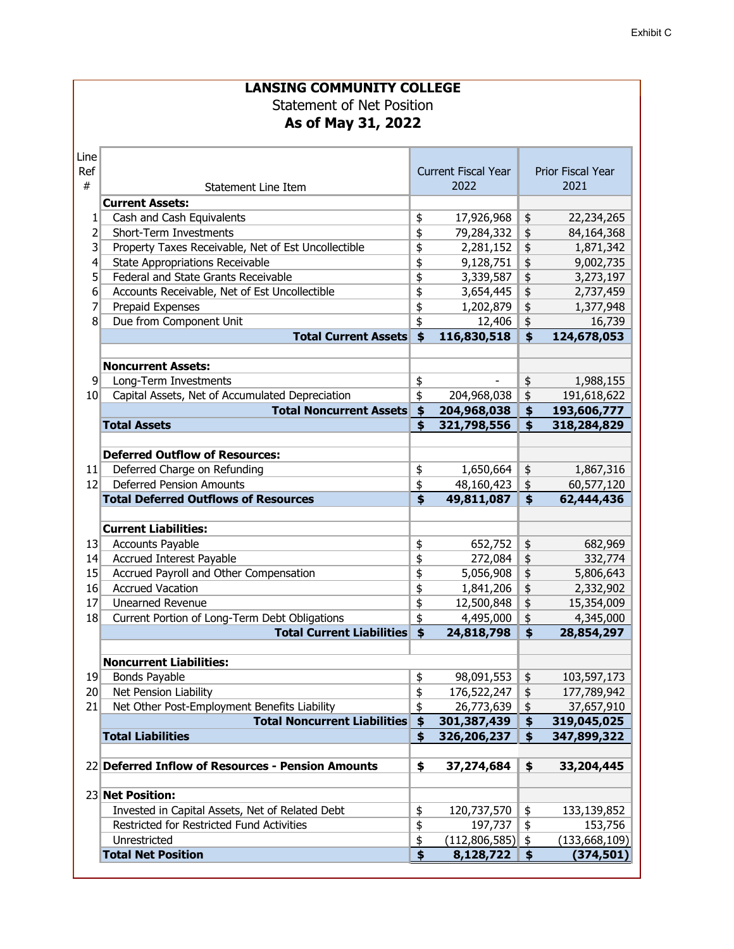|      | <b>LANSING COMMUNITY COLLEGE</b>                    |                        |                            |                  |                   |
|------|-----------------------------------------------------|------------------------|----------------------------|------------------|-------------------|
|      | <b>Statement of Net Position</b>                    |                        |                            |                  |                   |
|      | As of May 31, 2022                                  |                        |                            |                  |                   |
|      |                                                     |                        |                            |                  |                   |
|      |                                                     |                        |                            |                  |                   |
| Line |                                                     |                        |                            |                  |                   |
| Ref  |                                                     |                        | <b>Current Fiscal Year</b> |                  | Prior Fiscal Year |
| #    | Statement Line Item                                 |                        | 2022                       |                  | 2021              |
|      | <b>Current Assets:</b>                              |                        |                            |                  |                   |
| 1    | Cash and Cash Equivalents                           | \$                     | 17,926,968                 | \$               | 22,234,265        |
| 2    | Short-Term Investments                              | \$                     | 79,284,332                 | $\frac{1}{2}$    | 84,164,368        |
| 3    | Property Taxes Receivable, Net of Est Uncollectible | \$                     | 2,281,152                  | $\frac{1}{2}$    | 1,871,342         |
| 4    | <b>State Appropriations Receivable</b>              | \$                     | 9,128,751                  | $\frac{1}{2}$    | 9,002,735         |
| 5    | Federal and State Grants Receivable                 | \$                     | 3,339,587                  | \$               | 3,273,197         |
| 6    | Accounts Receivable, Net of Est Uncollectible       | \$                     | 3,654,445                  | $\frac{1}{2}$    | 2,737,459         |
| 7    | Prepaid Expenses                                    | \$                     | 1,202,879                  | $\frac{1}{2}$    | 1,377,948         |
| 8    | Due from Component Unit                             | \$                     | 12,406                     | $\ddot{\varphi}$ | 16,739            |
|      | <b>Total Current Assets</b>                         | $\dot{\boldsymbol{s}}$ | 116,830,518                | $\ddot{\bm{z}}$  | 124,678,053       |
|      |                                                     |                        |                            |                  |                   |
|      | <b>Noncurrent Assets:</b>                           |                        |                            |                  |                   |
| 9    | Long-Term Investments                               | \$                     |                            | \$               | 1,988,155         |
| 10   | Capital Assets, Net of Accumulated Depreciation     | \$                     | 204,968,038                | $\frac{4}{5}$    | 191,618,622       |
|      | <b>Total Noncurrent Assets</b>                      | \$                     | 204,968,038                | \$               | 193,606,777       |
|      | <b>Total Assets</b>                                 | \$                     | 321,798,556                | \$               | 318,284,829       |
|      |                                                     |                        |                            |                  |                   |
|      | <b>Deferred Outflow of Resources:</b>               |                        |                            |                  |                   |
| 11   | Deferred Charge on Refunding                        | \$                     | 1,650,664                  | \$               | 1,867,316         |
| 12   | <b>Deferred Pension Amounts</b>                     | \$                     | 48,160,423                 | $\frac{1}{2}$    | 60,577,120        |
|      | <b>Total Deferred Outflows of Resources</b>         | \$                     | 49,811,087                 | \$               | 62,444,436        |
|      |                                                     |                        |                            |                  |                   |
|      | <b>Current Liabilities:</b>                         |                        |                            |                  |                   |
| 13   | <b>Accounts Payable</b>                             | \$                     | 652,752                    | \$               | 682,969           |
| 14   | Accrued Interest Payable                            | \$                     | 272,084                    | $\frac{1}{2}$    | 332,774           |
| 15   | Accrued Payroll and Other Compensation              | \$                     | 5,056,908                  | $\frac{1}{2}$    | 5,806,643         |
| 16   | <b>Accrued Vacation</b>                             | \$                     | 1,841,206                  | $\ddot{\phi}$    | 2,332,902         |
| 17   | <b>Unearned Revenue</b>                             | \$                     | 12,500,848                 | \$               | 15,354,009        |
| 18   | Current Portion of Long-Term Debt Obligations       | $\frac{1}{2}$          | 4,495,000                  | $\frac{1}{2}$    | 4,345,000         |
|      | <b>Total Current Liabilities</b>                    | $\ddot{\bm{s}}$        | 24,818,798                 | \$               | 28,854,297        |
|      |                                                     |                        |                            |                  |                   |
|      | <b>Noncurrent Liabilities:</b>                      |                        |                            |                  |                   |
| 19   | Bonds Payable                                       | \$                     | 98,091,553                 | \$               | 103,597,173       |
| 20   | Net Pension Liability                               | \$                     | 176,522,247                | \$               | 177,789,942       |
| 21   | Net Other Post-Employment Benefits Liability        | \$                     | 26,773,639                 | \$               | 37,657,910        |
|      | <b>Total Noncurrent Liabilities</b>                 | \$                     |                            | \$               | 319,045,025       |
|      | <b>Total Liabilities</b>                            | \$                     | 301,387,439                |                  |                   |
|      |                                                     |                        | 326,206,237                | \$               | 347,899,322       |
|      | 22 Deferred Inflow of Resources - Pension Amounts   | \$                     |                            |                  | 33,204,445        |
|      |                                                     |                        | 37,274,684                 | \$               |                   |
|      |                                                     |                        |                            |                  |                   |
|      | 23 Net Position:                                    |                        |                            |                  |                   |
|      | Invested in Capital Assets, Net of Related Debt     | \$                     | 120,737,570                | \$               | 133,139,852       |
|      | Restricted for Restricted Fund Activities           | \$                     | 197,737                    | \$               | 153,756           |
|      | Unrestricted                                        | \$                     | (112, 806, 585)            | \$               | (133, 668, 109)   |
|      | <b>Total Net Position</b>                           | \$                     | 8,128,722                  | \$               | (374, 501)        |

Ш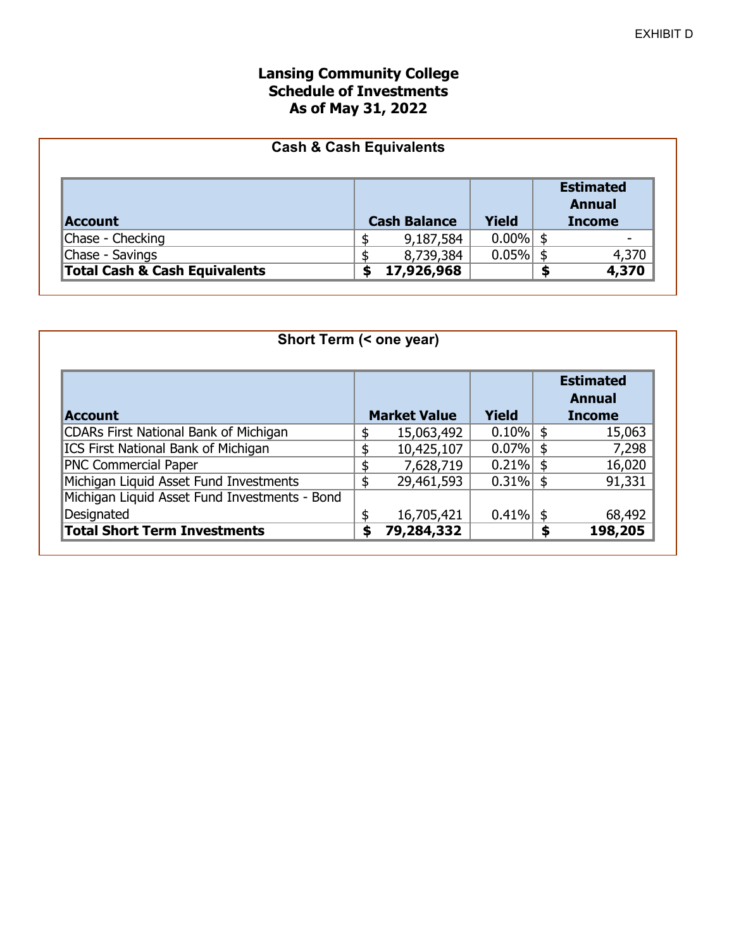### **Lansing Community College Schedule of Investments As of May 31, 2022**

|                                          | <b>Cash &amp; Cash Equivalents</b> |                     |              |                                   |
|------------------------------------------|------------------------------------|---------------------|--------------|-----------------------------------|
|                                          |                                    |                     |              | <b>Estimated</b><br><b>Annual</b> |
| <b>Account</b>                           |                                    | <b>Cash Balance</b> | <b>Yield</b> | <b>Income</b>                     |
| Chase - Checking                         |                                    | 9,187,584           | $0.00\%$ \$  |                                   |
| Chase - Savings                          |                                    | 8,739,384           | $0.05\%$     | 4,370                             |
| <b>Total Cash &amp; Cash Equivalents</b> | \$                                 | 17,926,968          |              | 4,370                             |

| Short Term (< one year)                       |    |                     |             |      |                                             |  |  |  |  |  |  |
|-----------------------------------------------|----|---------------------|-------------|------|---------------------------------------------|--|--|--|--|--|--|
| <b>Account</b>                                |    | <b>Market Value</b> | Yield       |      | <b>Estimated</b><br>Annual<br><b>Income</b> |  |  |  |  |  |  |
| <b>CDARs First National Bank of Michigan</b>  | S  | 15,063,492          | $0.10\%$ \$ |      | 15,063                                      |  |  |  |  |  |  |
| <b>ICS First National Bank of Michigan</b>    | S  | 10,425,107          | 0.07%       | -\$  | 7,298                                       |  |  |  |  |  |  |
| <b>PNC Commercial Paper</b>                   | S  | 7,628,719           | 0.21%       | - \$ | 16,020                                      |  |  |  |  |  |  |
| Michigan Liquid Asset Fund Investments        | \$ | 29,461,593          | 0.31%       | -\$  | 91,331                                      |  |  |  |  |  |  |
| Michigan Liquid Asset Fund Investments - Bond |    |                     |             |      |                                             |  |  |  |  |  |  |
| Designated                                    | \$ | 16,705,421          | 0.41%       | - \$ | 68,492                                      |  |  |  |  |  |  |
| <b>Total Short Term Investments</b>           | \$ | 79,284,332          |             | \$   | 198,205                                     |  |  |  |  |  |  |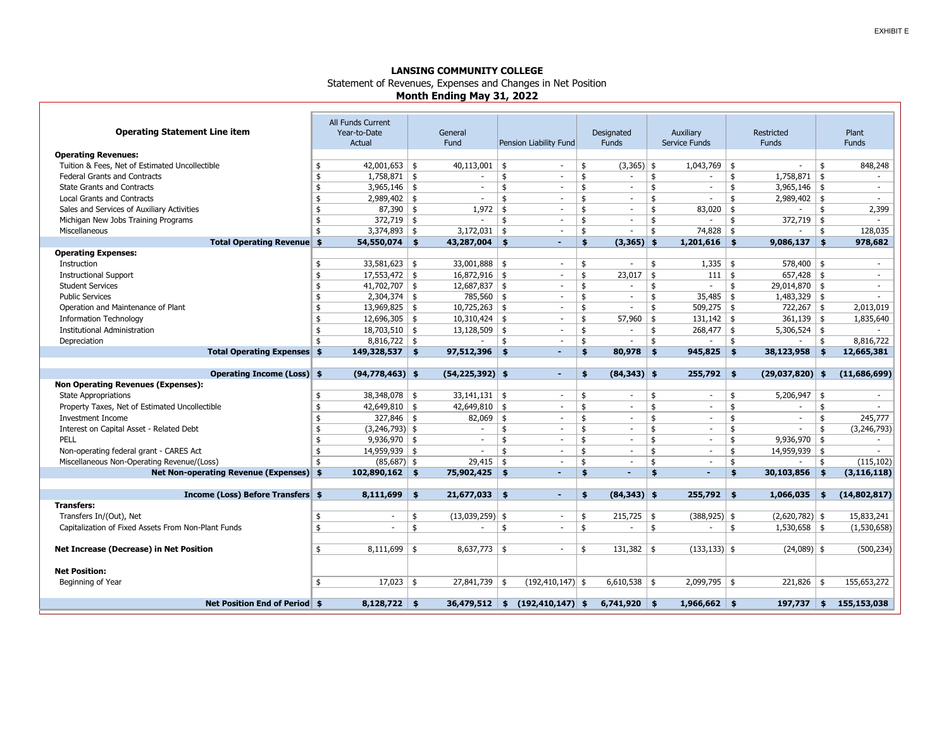#### **LANSING COMMUNITY COLLEGE** Statement of Revenues, Expenses and Changes in Net Position **Month Ending May 31, 2022**

| <b>Operating Statement Line item</b><br><b>Operating Revenues:</b><br>Tuition & Fees, Net of Estimated Uncollectible<br><b>Federal Grants and Contracts</b><br><b>State Grants and Contracts</b><br><b>Local Grants and Contracts</b><br>Sales and Services of Auxiliary Activities<br>Michigan New Jobs Training Programs<br>Miscellaneous | All Funds Current<br>Year-to-Date<br>Actual<br>$42,001,653$ \$<br>\$<br>$1,758,871$ \$<br>\$<br>$3,965,146$ \$<br>\$<br>\$<br>$2,989,402$ \$<br>$87,390$ \$<br>\$<br>\$<br>$372,719$ \$<br>$3,374,893$ \$<br>ፋ | General<br>Fund<br>40,113,001<br>$\sim$<br>$\overline{\phantom{a}}$<br>1,972<br>$\overline{\phantom{a}}$<br>3,172,031 | Pension Liability Fund<br>\$<br>$\sim$<br>\$<br>$\overline{\phantom{0}}$<br>\$<br>$\sim$<br>\$<br>$\overline{\phantom{a}}$<br>\$<br>$\overline{\phantom{0}}$<br>\$<br>$\sim$<br>\$<br>$\overline{\phantom{a}}$ | Designated<br><b>Funds</b><br>$(3,365)$ \$<br>\$<br>\$<br>$\overline{\phantom{a}}$<br>\$<br>$\overline{\phantom{a}}$<br>\$<br>$\overline{\phantom{a}}$<br>\$<br>\$<br>$\overline{\phantom{a}}$<br>\$<br>$\overline{\phantom{a}}$ | Auxiliary<br>Service Funds<br>1,043,769<br>\$<br>$\overline{\phantom{a}}$<br>\$<br>$\sim$<br>\$<br>$\overline{\phantom{a}}$<br>$\frac{4}{3}$<br>83,020<br>\$<br>74,828<br>\$ | Restricted<br><b>Funds</b><br>\$<br>$\overline{\phantom{a}}$<br>\$<br>$1,758,871$ \$<br>$3,965,146$ \$<br>\$<br>\$<br>$2,989,402$ \$<br>\$<br>$372,719$ \$<br>\$<br>\$<br>$\overline{\phantom{a}}$ | Plant<br><b>Funds</b><br>\$<br>848,248<br>$\overline{\phantom{0}}$<br>$\sim$<br>$\overline{\phantom{a}}$<br>\$<br>2,399<br>$\overline{\phantom{0}}$<br>128,035<br>\$ |
|---------------------------------------------------------------------------------------------------------------------------------------------------------------------------------------------------------------------------------------------------------------------------------------------------------------------------------------------|----------------------------------------------------------------------------------------------------------------------------------------------------------------------------------------------------------------|-----------------------------------------------------------------------------------------------------------------------|----------------------------------------------------------------------------------------------------------------------------------------------------------------------------------------------------------------|----------------------------------------------------------------------------------------------------------------------------------------------------------------------------------------------------------------------------------|------------------------------------------------------------------------------------------------------------------------------------------------------------------------------|----------------------------------------------------------------------------------------------------------------------------------------------------------------------------------------------------|----------------------------------------------------------------------------------------------------------------------------------------------------------------------|
| Total Operating Revenue \$                                                                                                                                                                                                                                                                                                                  | $54,550,074$ \$                                                                                                                                                                                                | 43,287,004                                                                                                            | -\$<br>٠                                                                                                                                                                                                       | $\frac{4}{5}$<br>$(3,365)$ \$                                                                                                                                                                                                    | 1,201,616                                                                                                                                                                    | 9,086,137<br>\$                                                                                                                                                                                    | $\frac{4}{5}$<br>978,682                                                                                                                                             |
| <b>Operating Expenses:</b>                                                                                                                                                                                                                                                                                                                  |                                                                                                                                                                                                                |                                                                                                                       |                                                                                                                                                                                                                |                                                                                                                                                                                                                                  |                                                                                                                                                                              |                                                                                                                                                                                                    |                                                                                                                                                                      |
| Instruction                                                                                                                                                                                                                                                                                                                                 | \$<br>$33,581,623$ \$                                                                                                                                                                                          | 33,001,888                                                                                                            | \$<br>$\blacksquare$                                                                                                                                                                                           | \$<br>$\overline{\phantom{a}}$                                                                                                                                                                                                   | \$<br>1,335                                                                                                                                                                  | \$<br>$578,400$ \$                                                                                                                                                                                 | $\overline{\phantom{0}}$                                                                                                                                             |
| <b>Instructional Support</b>                                                                                                                                                                                                                                                                                                                | \$<br>$17,553,472$ \$                                                                                                                                                                                          | $16,872,916$ \$                                                                                                       | $\sim$                                                                                                                                                                                                         | \$<br>23,017                                                                                                                                                                                                                     | \$<br>111                                                                                                                                                                    | $657,428$ \$<br>\$                                                                                                                                                                                 | $\overline{\phantom{a}}$                                                                                                                                             |
| <b>Student Services</b>                                                                                                                                                                                                                                                                                                                     | $41,702,707$ \$<br>\$                                                                                                                                                                                          | $12,687,837$ \$                                                                                                       | $\sim$                                                                                                                                                                                                         | \$<br>$\overline{\phantom{a}}$                                                                                                                                                                                                   | \$<br>$\blacksquare$                                                                                                                                                         | 29,014,870 \$<br>\$                                                                                                                                                                                | $\overline{\phantom{a}}$                                                                                                                                             |
| <b>Public Services</b>                                                                                                                                                                                                                                                                                                                      | $2,304,374$ \$<br>\$                                                                                                                                                                                           | 785,560 \$                                                                                                            | $\overline{\phantom{a}}$                                                                                                                                                                                       | \$<br>$\overline{\phantom{a}}$                                                                                                                                                                                                   | 35,485<br>\$                                                                                                                                                                 | $1,483,329$ \$<br>\$                                                                                                                                                                               |                                                                                                                                                                      |
| Operation and Maintenance of Plant                                                                                                                                                                                                                                                                                                          | $13,969,825$ \$<br>\$                                                                                                                                                                                          | 10,725,263                                                                                                            | \$<br>$\overline{\phantom{a}}$                                                                                                                                                                                 | \$<br>$\overline{\phantom{a}}$                                                                                                                                                                                                   | 509,275<br>\$                                                                                                                                                                | $722,267$ \$<br>\$                                                                                                                                                                                 | 2,013,019                                                                                                                                                            |
| <b>Information Technology</b>                                                                                                                                                                                                                                                                                                               | \$<br>$12,696,305$ \$                                                                                                                                                                                          | $10,310,424$ \$                                                                                                       | $\blacksquare$                                                                                                                                                                                                 | \$<br>57,960                                                                                                                                                                                                                     | -\$<br>$131,142$ \$                                                                                                                                                          | $361,139$ \$                                                                                                                                                                                       | 1,835,640                                                                                                                                                            |
| <b>Institutional Administration</b>                                                                                                                                                                                                                                                                                                         | $18,703,510$ \$<br>\$                                                                                                                                                                                          | 13,128,509                                                                                                            | \$<br>$\overline{\phantom{0}}$                                                                                                                                                                                 | \$                                                                                                                                                                                                                               | \$<br>268,477                                                                                                                                                                | $5,306,524$ \$<br>\$                                                                                                                                                                               |                                                                                                                                                                      |
| Depreciation                                                                                                                                                                                                                                                                                                                                | $8,816,722$ \$<br>\$                                                                                                                                                                                           |                                                                                                                       | \$<br>$\sim$                                                                                                                                                                                                   | \$<br>$\overline{\phantom{a}}$                                                                                                                                                                                                   | \$<br>$\overline{\phantom{a}}$                                                                                                                                               | \$<br>$\overline{\phantom{0}}$                                                                                                                                                                     | \$<br>8,816,722                                                                                                                                                      |
| <b>Total Operating Expenses</b> \$                                                                                                                                                                                                                                                                                                          | $149,328,537$ \$                                                                                                                                                                                               | 97,512,396                                                                                                            | - \$<br>$\blacksquare$                                                                                                                                                                                         | $\mathbf{s}$<br>80,978                                                                                                                                                                                                           | \$<br>945,825                                                                                                                                                                | \$<br>38,123,958                                                                                                                                                                                   | \$<br>12,665,381                                                                                                                                                     |
|                                                                                                                                                                                                                                                                                                                                             |                                                                                                                                                                                                                |                                                                                                                       |                                                                                                                                                                                                                |                                                                                                                                                                                                                                  |                                                                                                                                                                              |                                                                                                                                                                                                    |                                                                                                                                                                      |
|                                                                                                                                                                                                                                                                                                                                             |                                                                                                                                                                                                                |                                                                                                                       |                                                                                                                                                                                                                |                                                                                                                                                                                                                                  |                                                                                                                                                                              |                                                                                                                                                                                                    |                                                                                                                                                                      |
| Operating Income (Loss) \$                                                                                                                                                                                                                                                                                                                  | $(94, 778, 463)$ \$                                                                                                                                                                                            | $(54, 225, 392)$ \$                                                                                                   | ٠                                                                                                                                                                                                              | $(84,343)$ \$<br>\$                                                                                                                                                                                                              | 255,792                                                                                                                                                                      | \$<br>(29,037,820)                                                                                                                                                                                 | (11,686,699)<br>\$                                                                                                                                                   |
| <b>Non Operating Revenues (Expenses):</b>                                                                                                                                                                                                                                                                                                   |                                                                                                                                                                                                                |                                                                                                                       |                                                                                                                                                                                                                |                                                                                                                                                                                                                                  |                                                                                                                                                                              |                                                                                                                                                                                                    |                                                                                                                                                                      |
| <b>State Appropriations</b>                                                                                                                                                                                                                                                                                                                 | $38,348,078$ \$<br>\$                                                                                                                                                                                          | $33,141,131$ \$                                                                                                       | $\overline{\phantom{a}}$                                                                                                                                                                                       | \$<br>$\overline{\phantom{a}}$                                                                                                                                                                                                   | \$<br>$\overline{\phantom{a}}$                                                                                                                                               | 5,206,947<br>\$                                                                                                                                                                                    | 5<br>$\overline{\phantom{0}}$                                                                                                                                        |
| Property Taxes, Net of Estimated Uncollectible                                                                                                                                                                                                                                                                                              | $42,649,810$ \$<br>\$                                                                                                                                                                                          | $42,649,810$ \$                                                                                                       | $\blacksquare$                                                                                                                                                                                                 | \$<br>$\overline{\phantom{a}}$                                                                                                                                                                                                   | \$<br>$\sim$                                                                                                                                                                 | \$<br>$\overline{\phantom{a}}$                                                                                                                                                                     | \$<br>$\overline{\phantom{0}}$                                                                                                                                       |
| Investment Income                                                                                                                                                                                                                                                                                                                           | \$<br>$327,846$ \$                                                                                                                                                                                             | 82,069                                                                                                                | \$<br>$\sim$                                                                                                                                                                                                   | \$<br>$\overline{\phantom{a}}$                                                                                                                                                                                                   | \$<br>$\overline{\phantom{a}}$                                                                                                                                               | \$<br>$\overline{\phantom{a}}$                                                                                                                                                                     | 245,777<br>\$                                                                                                                                                        |
| Interest on Capital Asset - Related Debt                                                                                                                                                                                                                                                                                                    | $(3,246,793)$ \$<br>\$                                                                                                                                                                                         | $\overline{\phantom{a}}$                                                                                              | \$<br>$\overline{\phantom{a}}$                                                                                                                                                                                 | \$                                                                                                                                                                                                                               | \$<br>$\overline{\phantom{a}}$                                                                                                                                               | \$<br>$\overline{\phantom{a}}$                                                                                                                                                                     | \$<br>(3, 246, 793)                                                                                                                                                  |
| PELL                                                                                                                                                                                                                                                                                                                                        | $9,936,970$ \$<br>\$                                                                                                                                                                                           | $\overline{\phantom{a}}$                                                                                              | \$<br>$\blacksquare$                                                                                                                                                                                           | \$<br>$\overline{\phantom{a}}$                                                                                                                                                                                                   | \$<br>$\overline{\phantom{0}}$                                                                                                                                               | \$                                                                                                                                                                                                 | \$<br>$\overline{\phantom{a}}$                                                                                                                                       |
| Non-operating federal grant - CARES Act                                                                                                                                                                                                                                                                                                     | $14,959,939$ \$<br>\$                                                                                                                                                                                          | $\overline{\phantom{a}}$                                                                                              | $\mathbf{\hat{S}}$<br>$\overline{\phantom{a}}$                                                                                                                                                                 | \$<br>$\overline{\phantom{a}}$                                                                                                                                                                                                   | \$<br>$\overline{\phantom{a}}$                                                                                                                                               | 9,936,970<br>\$<br>$14,959,939$ \$                                                                                                                                                                 | $\overline{\phantom{a}}$                                                                                                                                             |
| Miscellaneous Non-Operating Revenue/(Loss)                                                                                                                                                                                                                                                                                                  | $(85,687)$ \$<br>\$                                                                                                                                                                                            | $29,415$ \$                                                                                                           | $\overline{\phantom{a}}$                                                                                                                                                                                       | \$                                                                                                                                                                                                                               | \$<br>$\overline{\phantom{a}}$                                                                                                                                               | \$                                                                                                                                                                                                 | \$<br>(115, 102)                                                                                                                                                     |
| Net Non-operating Revenue (Expenses) \$                                                                                                                                                                                                                                                                                                     | $102,890,162$ \$                                                                                                                                                                                               | 75,902,425 \$                                                                                                         | ٠                                                                                                                                                                                                              | \$<br>$\overline{a}$                                                                                                                                                                                                             | \$<br>٠                                                                                                                                                                      | \$<br>30,103,856                                                                                                                                                                                   | \$<br>(3, 116, 118)                                                                                                                                                  |
|                                                                                                                                                                                                                                                                                                                                             |                                                                                                                                                                                                                |                                                                                                                       |                                                                                                                                                                                                                |                                                                                                                                                                                                                                  |                                                                                                                                                                              |                                                                                                                                                                                                    |                                                                                                                                                                      |
| <b>Income (Loss) Before Transfers</b> \$                                                                                                                                                                                                                                                                                                    | 8,111,699                                                                                                                                                                                                      | 21,677,033<br>\$                                                                                                      | -\$<br>$\blacksquare$                                                                                                                                                                                          | $(84,343)$ \$<br>\$                                                                                                                                                                                                              | 255,792                                                                                                                                                                      | 1,066,035<br>\$                                                                                                                                                                                    | (14,802,817)<br>\$                                                                                                                                                   |
| <b>Transfers:</b>                                                                                                                                                                                                                                                                                                                           |                                                                                                                                                                                                                |                                                                                                                       |                                                                                                                                                                                                                |                                                                                                                                                                                                                                  |                                                                                                                                                                              |                                                                                                                                                                                                    |                                                                                                                                                                      |
| Transfers In/(Out), Net                                                                                                                                                                                                                                                                                                                     | \$<br>$\overline{\phantom{a}}$                                                                                                                                                                                 | \$<br>$(13,039,259)$ \$                                                                                               | $\blacksquare$                                                                                                                                                                                                 | \$<br>$215,725$ \$                                                                                                                                                                                                               | $(388, 925)$ \$                                                                                                                                                              | $(2,620,782)$ \$                                                                                                                                                                                   | 15,833,241                                                                                                                                                           |
| Capitalization of Fixed Assets From Non-Plant Funds                                                                                                                                                                                                                                                                                         | \$<br>$\overline{\phantom{a}}$                                                                                                                                                                                 | \$<br>$\overline{\phantom{a}}$                                                                                        | \$<br>$\sim$                                                                                                                                                                                                   | \$<br>$\overline{\phantom{a}}$                                                                                                                                                                                                   | \$<br>$\blacksquare$                                                                                                                                                         | $1,530,658$ \$<br>\$                                                                                                                                                                               | (1,530,658)                                                                                                                                                          |
|                                                                                                                                                                                                                                                                                                                                             |                                                                                                                                                                                                                |                                                                                                                       |                                                                                                                                                                                                                |                                                                                                                                                                                                                                  |                                                                                                                                                                              |                                                                                                                                                                                                    |                                                                                                                                                                      |
| <b>Net Increase (Decrease) in Net Position</b>                                                                                                                                                                                                                                                                                              | $8,111,699$ \$<br>\$                                                                                                                                                                                           | $8,637,773$ \$                                                                                                        | $\overline{a}$                                                                                                                                                                                                 | \$<br>$131,382$ \$                                                                                                                                                                                                               | $(133, 133)$ \$                                                                                                                                                              | $(24,089)$ \$                                                                                                                                                                                      | (500, 234)                                                                                                                                                           |
|                                                                                                                                                                                                                                                                                                                                             |                                                                                                                                                                                                                |                                                                                                                       |                                                                                                                                                                                                                |                                                                                                                                                                                                                                  |                                                                                                                                                                              |                                                                                                                                                                                                    |                                                                                                                                                                      |
| <b>Net Position:</b>                                                                                                                                                                                                                                                                                                                        |                                                                                                                                                                                                                |                                                                                                                       |                                                                                                                                                                                                                |                                                                                                                                                                                                                                  |                                                                                                                                                                              |                                                                                                                                                                                                    |                                                                                                                                                                      |
|                                                                                                                                                                                                                                                                                                                                             | $17,023$ \$<br>\$                                                                                                                                                                                              | $27,841,739$ \$                                                                                                       |                                                                                                                                                                                                                |                                                                                                                                                                                                                                  | $2,099,795$ \$                                                                                                                                                               | $221,826$ \$                                                                                                                                                                                       | 155,653,272                                                                                                                                                          |
| Beginning of Year                                                                                                                                                                                                                                                                                                                           |                                                                                                                                                                                                                |                                                                                                                       | $(192, 410, 147)$ \$                                                                                                                                                                                           | $6,610,538$ \$                                                                                                                                                                                                                   |                                                                                                                                                                              |                                                                                                                                                                                                    |                                                                                                                                                                      |